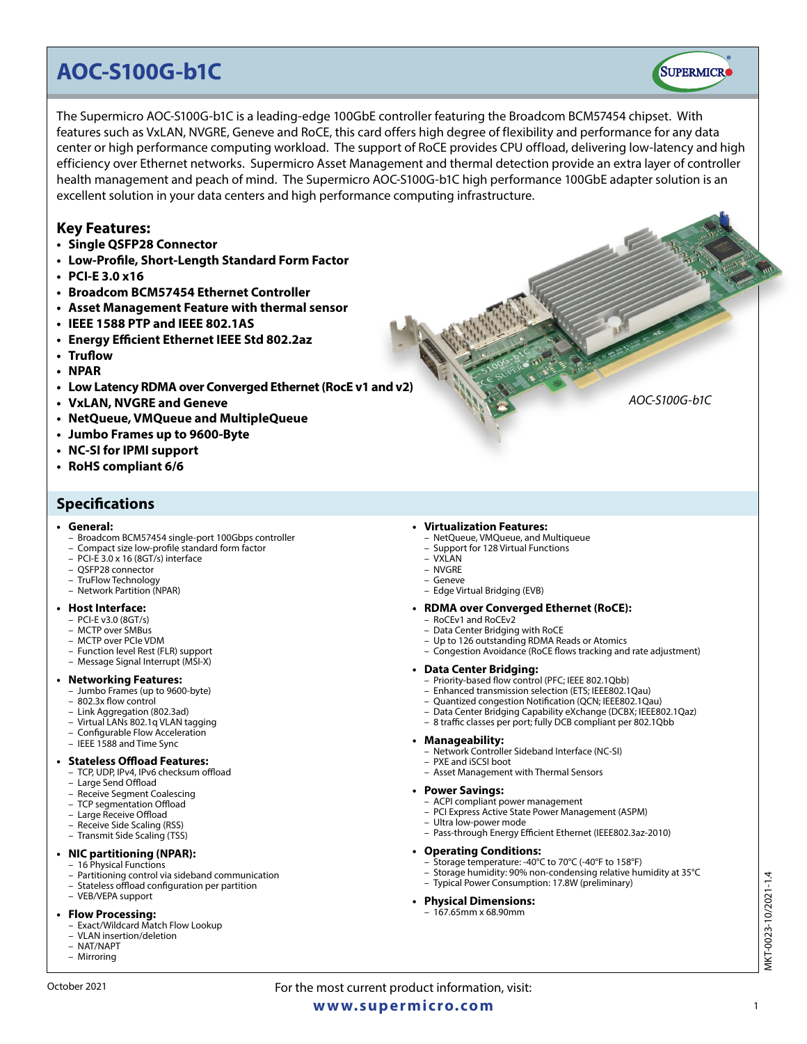# **AOC-S100G-b1C**

The Supermicro AOC-S100G-b1C is a leading-edge 100GbE controller featuring the Broadcom BCM57454 chipset. With features such as VxLAN, NVGRE, Geneve and RoCE, this card offers high degree of flexibility and performance for any data center or high performance computing workload. The support of RoCE provides CPU offload, delivering low-latency and high efficiency over Ethernet networks. Supermicro Asset Management and thermal detection provide an extra layer of controller health management and peach of mind. The Supermicro AOC-S100G-b1C high performance 100GbE adapter solution is an excellent solution in your data centers and high performance computing infrastructure.

# **Key Features:**

- **• Single QSFP28 Connector**
- **• Low-Profile, Short-Length Standard Form Factor**
- **• PCI-E 3.0 x16**
- **• Broadcom BCM57454 Ethernet Controller**
- **• Asset Management Feature with thermal sensor**
- **• IEEE 1588 PTP and IEEE 802.1AS**
- **• Energy Efficient Ethernet IEEE Std 802.2az**
- **• Truflow**
- **• NPAR**
- **• Low Latency RDMA over Converged Ethernet (RocE v1 and v2)**
- **• VxLAN, NVGRE and Geneve**
- **• NetQueue, VMQueue and MultipleQueue**
- **• Jumbo Frames up to 9600-Byte**
- **• NC-SI for IPMI support**
- **• RoHS compliant 6/6**

# **Specifications**

#### **• General:**

- Broadcom BCM57454 single-port 100Gbps controller
- Compact size low-profile standard form factor
- PCI-E 3.0 x 16 (8GT/s) interface
- QSFP28 connector
- TruFlow Technology
- Network Partition (NPAR)

#### **• Host Interface:**

- PCI-E v3.0 (8GT/s)
- MCTP over SMBus
- MCTP over PCIe VDM
- Function level Rest (FLR) support – Message Signal Interrupt (MSI-X)

#### **• Networking Features:**

- Jumbo Frames (up to 9600-byte)
- 802.3x flow control
- Link Aggregation (802.3ad)
- Virtual LANs 802.1q VLAN tagging
- Configurable Flow Acceleration – IEEE 1588 and Time Sync

#### **• Stateless Offload Features:**

- TCP, UDP, IPv4, IPv6 checksum offload
- Large Send Offload
- Receive Segment Coalescing
- TCP segmentation Offload
- Large Receive Offload
- Receive Side Scaling (RSS) – Transmit Side Scaling (TSS)
- 

# **• NIC partitioning (NPAR):**

- 16 Physical Functions
- Partitioning control via sideband communication – Stateless offload configuration per partition
- VEB/VEPA support

#### **• Flow Processing:**

- Exact/Wildcard Match Flow Lookup
- VLAN insertion/deletion
- NAT/NAPT
- Mirroring

#### **• Virtualization Features:**

- NetQueue, VMQueue, and Multiqueue
- Support for 128 Virtual Functions
- VXLAN – NVGRE
- Geneve
- Edge Virtual Bridging (EVB)

#### **• RDMA over Converged Ethernet (RoCE):**

- RoCEv1 and RoCEv2
- Data Center Bridging with RoCE
- Up to 126 outstanding RDMA Reads or Atomics
- Congestion Avoidance (RoCE flows tracking and rate adjustment)

- **• Data Center Bridging:** Priority-based flow control (PFC; IEEE 802.1Qbb)
	- Enhanced transmission selection (ETS; IEEE802.1Qau)
	- Quantized congestion Notification (QCN; IEEE802.1Qau)
	- Data Center Bridging Capability eXchange (DCBX; IEEE802.1Qaz)
	- 8 traffic classes per port; fully DCB compliant per 802.1Qbb

#### **• Manageability:**

- Network Controller Sideband Interface (NC-SI)
- PXE and iSCSI boot
- Asset Management with Thermal Sensors

#### **• Power Savings:**

- ACPI compliant power management
- PCI Express Active State Power Management (ASPM)
- Ultra low-power mode
- Pass-through Energy Efficient Ethernet (IEEE802.3az-2010)

### **• Operating Conditions:**

- Storage temperature: -40°C to 70°C (-40°F to 158°F)
- Storage humidity: 90% non-condensing relative humidity at 35°C – Typical Power Consumption: 17.8W (preliminary)

# **• Physical Dimensions:**

– 167.65mm x 68.90mm



*AOC-S100G-b1C*